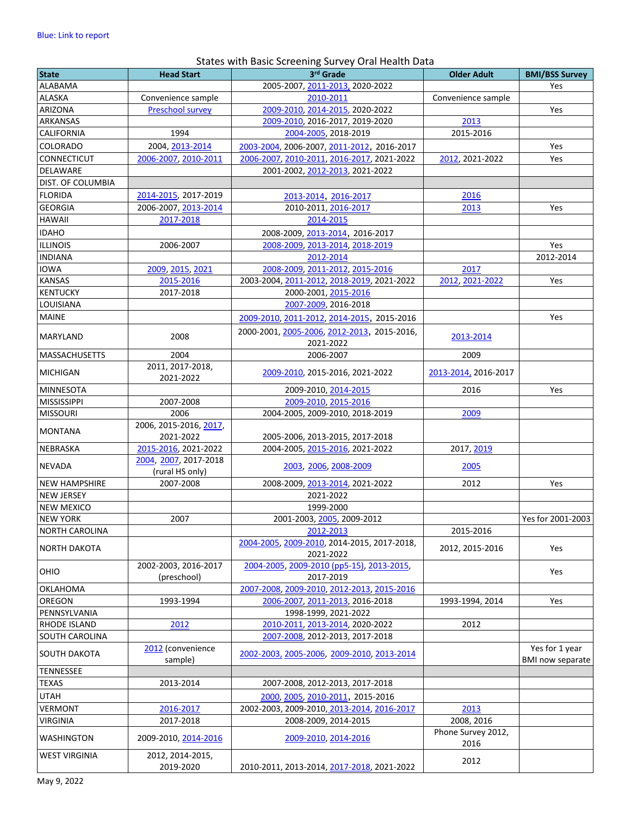## States with Basic Screening Survey Oral Health Data

| <b>State</b>         | <b>Head Start</b>                        | 3rd Grade                                                | <b>Older Adult</b>         | <b>BMI/BSS Survey</b>                     |
|----------------------|------------------------------------------|----------------------------------------------------------|----------------------------|-------------------------------------------|
| ALABAMA              |                                          | 2005-2007, 2011-2013, 2020-2022                          |                            | Yes                                       |
| ALASKA               | Convenience sample                       | 2010-2011                                                | Convenience sample         |                                           |
| ARIZONA              | <b>Preschool survey</b>                  | 2009-2010, 2014-2015, 2020-2022                          |                            | Yes                                       |
| <b>ARKANSAS</b>      |                                          | 2009-2010, 2016-2017, 2019-2020                          | 2013                       |                                           |
| CALIFORNIA           | 1994                                     | 2004-2005, 2018-2019                                     | 2015-2016                  |                                           |
| COLORADO             | 2004, 2013-2014                          | 2003-2004, 2006-2007, 2011-2012, 2016-2017               |                            | Yes                                       |
| <b>CONNECTICUT</b>   | 2006-2007, 2010-2011                     | 2006-2007, 2010-2011, 2016-2017, 2021-2022               | 2012, 2021-2022            | Yes                                       |
| <b>DELAWARE</b>      |                                          | 2001-2002, 2012-2013, 2021-2022                          |                            |                                           |
| DIST. OF COLUMBIA    |                                          |                                                          |                            |                                           |
| <b>FLORIDA</b>       | 2014-2015, 2017-2019                     | 2013-2014, 2016-2017                                     | 2016                       |                                           |
| <b>GEORGIA</b>       | 2006-2007, 2013-2014                     | 2010-2011, 2016-2017                                     | 2013                       | Yes                                       |
| <b>HAWAII</b>        | 2017-2018                                | 2014-2015                                                |                            |                                           |
| <b>IDAHO</b>         |                                          | 2008-2009, 2013-2014, 2016-2017                          |                            |                                           |
| <b>ILLINOIS</b>      | 2006-2007                                | 2008-2009, 2013-2014, 2018-2019                          |                            | Yes                                       |
| <b>INDIANA</b>       |                                          | 2012-2014                                                |                            | 2012-2014                                 |
| <b>IOWA</b>          | 2009, 2015, 2021                         | 2008-2009, 2011-2012, 2015-2016                          | 2017                       |                                           |
| <b>KANSAS</b>        | 2015-2016                                | 2003-2004, 2011-2012, 2018-2019, 2021-2022               | 2012, 2021-2022            | Yes                                       |
| <b>KENTUCKY</b>      | 2017-2018                                | 2000-2001, 2015-2016                                     |                            |                                           |
| LOUISIANA            |                                          | 2007-2009, 2016-2018                                     |                            |                                           |
| <b>MAINE</b>         |                                          | 2009-2010, 2011-2012, 2014-2015, 2015-2016               |                            | Yes                                       |
|                      |                                          | 2000-2001, 2005-2006, 2012-2013, 2015-2016,              |                            |                                           |
| MARYLAND             | 2008                                     | 2021-2022                                                | 2013-2014                  |                                           |
| <b>MASSACHUSETTS</b> | 2004                                     | 2006-2007                                                | 2009                       |                                           |
|                      | 2011, 2017-2018,                         |                                                          |                            |                                           |
| <b>MICHIGAN</b>      | 2021-2022                                | 2009-2010, 2015-2016, 2021-2022                          | 2013-2014, 2016-2017       |                                           |
| <b>MINNESOTA</b>     |                                          | 2009-2010, 2014-2015                                     | 2016                       | Yes                                       |
| <b>MISSISSIPPI</b>   | 2007-2008                                | 2009-2010, 2015-2016                                     |                            |                                           |
| <b>MISSOURI</b>      | 2006                                     | 2004-2005, 2009-2010, 2018-2019                          | 2009                       |                                           |
|                      | 2006, 2015-2016, 2017,                   |                                                          |                            |                                           |
| <b>MONTANA</b>       | 2021-2022                                | 2005-2006, 2013-2015, 2017-2018                          |                            |                                           |
| <b>NEBRASKA</b>      | 2015-2016, 2021-2022                     | 2004-2005, 2015-2016, 2021-2022                          | 2017, 2019                 |                                           |
| NEVADA               | 2004, 2007, 2017-2018<br>(rural HS only) | 2003, 2006, 2008-2009                                    | 2005                       |                                           |
| <b>NEW HAMPSHIRE</b> | 2007-2008                                | 2008-2009, 2013-2014, 2021-2022                          | 2012                       | Yes                                       |
| <b>NEW JERSEY</b>    |                                          | 2021-2022                                                |                            |                                           |
| <b>NEW MEXICO</b>    |                                          | 1999-2000                                                |                            |                                           |
| <b>NEW YORK</b>      | 2007                                     | 2001-2003, 2005, 2009-2012                               |                            | Yes for 2001-2003                         |
| NORTH CAROLINA       |                                          | 2012-2013                                                | 2015-2016                  |                                           |
| <b>NORTH DAKOTA</b>  |                                          | 2004-2005, 2009-2010, 2014-2015, 2017-2018,<br>2021-2022 | 2012, 2015-2016            | Yes                                       |
| OHIO                 | 2002-2003, 2016-2017                     | 2004-2005, 2009-2010 (pp5-15), 2013-2015,                |                            | Yes                                       |
|                      | (preschool)                              | 2017-2019                                                |                            |                                           |
| OKLAHOMA             |                                          | 2007-2008, 2009-2010, 2012-2013, 2015-2016               |                            |                                           |
| OREGON               | 1993-1994                                | 2006-2007, 2011-2013, 2016-2018                          | 1993-1994, 2014            | Yes                                       |
| PENNSYLVANIA         |                                          | 1998-1999, 2021-2022                                     |                            |                                           |
| RHODE ISLAND         | 2012                                     | 2010-2011, 2013-2014, 2020-2022                          | 2012                       |                                           |
| SOUTH CAROLINA       |                                          | 2007-2008, 2012-2013, 2017-2018                          |                            |                                           |
| SOUTH DAKOTA         | 2012 (convenience<br>sample)             | 2002-2003, 2005-2006, 2009-2010, 2013-2014               |                            | Yes for 1 year<br><b>BMI now separate</b> |
| TENNESSEE            |                                          |                                                          |                            |                                           |
| <b>TEXAS</b>         | 2013-2014                                | 2007-2008, 2012-2013, 2017-2018                          |                            |                                           |
| <b>UTAH</b>          |                                          | 2000, 2005, 2010-2011, 2015-2016                         |                            |                                           |
| <b>VERMONT</b>       | 2016-2017                                | 2002-2003, 2009-2010, 2013-2014, 2016-2017               | 2013                       |                                           |
| <b>VIRGINIA</b>      | 2017-2018                                | 2008-2009, 2014-2015                                     | 2008, 2016                 |                                           |
| <b>WASHINGTON</b>    | 2009-2010, 2014-2016                     | 2009-2010, 2014-2016                                     | Phone Survey 2012,<br>2016 |                                           |
| <b>WEST VIRGINIA</b> | 2012, 2014-2015,                         |                                                          |                            |                                           |
|                      | 2019-2020                                | 2010-2011, 2013-2014, 2017-2018, 2021-2022               | 2012                       |                                           |